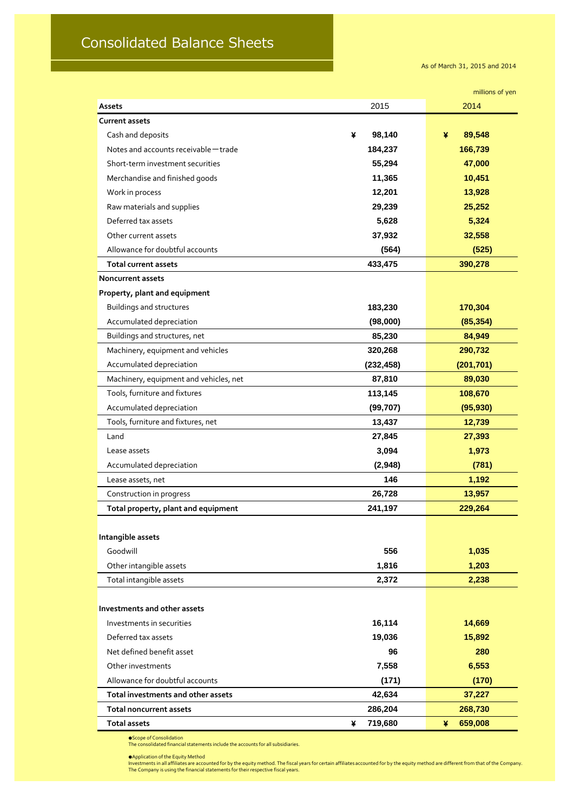## Consolidated Balance Sheets

As of March 31, 2015 and 2014

|                                        |              | millions of yen |  |
|----------------------------------------|--------------|-----------------|--|
| <b>Assets</b>                          | 2015         | 2014            |  |
| <b>Current assets</b>                  |              |                 |  |
| Cash and deposits                      | 98,140<br>¥  | 89,548<br>¥     |  |
| Notes and accounts receivable - trade  | 184,237      | 166,739         |  |
| Short-term investment securities       | 55,294       | 47,000          |  |
| Merchandise and finished goods         | 11,365       | 10,451          |  |
| Work in process                        | 12,201       | 13,928          |  |
| Raw materials and supplies             | 29,239       | 25,252          |  |
| Deferred tax assets                    | 5,628        | 5,324           |  |
| Other current assets                   | 37,932       | 32,558          |  |
| Allowance for doubtful accounts        | (564)        | (525)           |  |
| <b>Total current assets</b>            | 433,475      | 390,278         |  |
| <b>Noncurrent assets</b>               |              |                 |  |
| Property, plant and equipment          |              |                 |  |
| <b>Buildings and structures</b>        | 183,230      | 170,304         |  |
| Accumulated depreciation               | (98,000)     | (85, 354)       |  |
| Buildings and structures, net          | 85,230       | 84,949          |  |
| Machinery, equipment and vehicles      | 320,268      | 290,732         |  |
| Accumulated depreciation               | (232, 458)   | (201, 701)      |  |
| Machinery, equipment and vehicles, net | 87,810       | 89,030          |  |
| Tools, furniture and fixtures          | 113,145      | 108,670         |  |
| Accumulated depreciation               | (99, 707)    | (95, 930)       |  |
| Tools, furniture and fixtures, net     | 13,437       | 12,739          |  |
| Land                                   | 27,845       | 27,393          |  |
| Lease assets                           | 3,094        | 1,973           |  |
| Accumulated depreciation               | (2,948)      | (781)           |  |
| Lease assets, net                      | 146          | 1,192           |  |
| Construction in progress               | 26,728       | 13,957          |  |
| Total property, plant and equipment    | 241,197      | 229,264         |  |
|                                        |              |                 |  |
| Intangible assets                      |              |                 |  |
| Goodwill                               | 556          | 1,035           |  |
| Other intangible assets                | 1,816        | 1,203           |  |
| Total intangible assets                | 2,372        | 2,238           |  |
|                                        |              |                 |  |
| Investments and other assets           |              |                 |  |
| Investments in securities              | 16,114       | 14,669          |  |
| Deferred tax assets                    | 19,036       | 15,892          |  |
| Net defined benefit asset              | 96           | 280             |  |
| Other investments                      | 7,558        | 6,553           |  |
| Allowance for doubtful accounts        | (171)        | (170)           |  |
| Total investments and other assets     | 42,634       | 37,227          |  |
| <b>Total noncurrent assets</b>         | 286,204      | 268,730         |  |
| <b>Total assets</b>                    | 719,680<br>¥ | 659,008<br>¥    |  |

● Scope of Consolidation

The consolidated financial statements include the accounts for all subsidiaries.

●Application of the Equity Method

Investments in all affiliates are accounted for by the equity method. The fiscal years for certain affiliates accounted for by the equity method are different from that of the Company. The Company is using the financial statements for their respective fiscal years.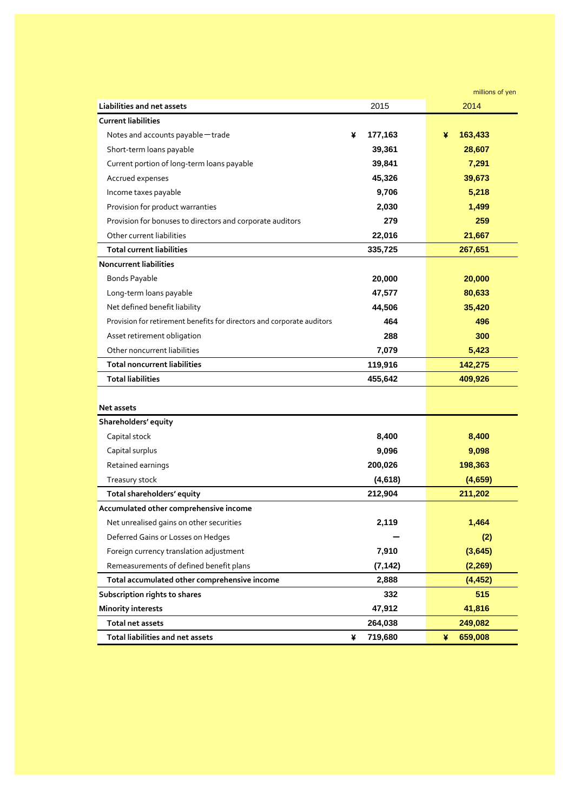|                                                                        |              | millions of yen |
|------------------------------------------------------------------------|--------------|-----------------|
| <b>Liabilities and net assets</b>                                      | 2015         | 2014            |
| <b>Current liabilities</b>                                             |              |                 |
| Notes and accounts payable - trade                                     | 177,163<br>¥ | 163,433<br>¥    |
| Short-term loans payable                                               | 39,361       | 28,607          |
| Current portion of long-term loans payable                             | 39,841       | 7,291           |
| Accrued expenses                                                       | 45,326       | 39,673          |
| Income taxes payable                                                   | 9,706        | 5,218           |
| Provision for product warranties                                       | 2,030        | 1,499           |
| Provision for bonuses to directors and corporate auditors              | 279          | 259             |
| Other current liabilities                                              | 22,016       | 21,667          |
| <b>Total current liabilities</b>                                       | 335,725      | 267,651         |
| <b>Noncurrent liabilities</b>                                          |              |                 |
| <b>Bonds Payable</b>                                                   | 20,000       | 20,000          |
| Long-term loans payable                                                | 47,577       | 80,633          |
| Net defined benefit liability                                          | 44,506       | 35,420          |
| Provision for retirement benefits for directors and corporate auditors | 464          | 496             |
| Asset retirement obligation                                            | 288          | 300             |
| Other noncurrent liabilities                                           | 7,079        | 5,423           |
| <b>Total noncurrent liabilities</b>                                    | 119,916      | 142,275         |
| <b>Total liabilities</b>                                               | 455,642      | 409,926         |
|                                                                        |              |                 |
| <b>Net assets</b>                                                      |              |                 |
| Shareholders' equity                                                   |              |                 |
| Capital stock                                                          | 8,400        | 8,400           |
| Capital surplus                                                        | 9,096        | 9,098           |
| Retained earnings                                                      | 200,026      | 198,363         |
| Treasury stock                                                         | (4,618)      | (4,659)         |
| Total shareholders' equity                                             | 212,904      | 211,202         |
| Accumulated other comprehensive income                                 |              |                 |
| Net unrealised gains on other securities                               | 2,119        | 1,464           |
| Deferred Gains or Losses on Hedges                                     |              | (2)             |
| Foreign currency translation adjustment                                | 7,910        | (3,645)         |
| Remeasurements of defined benefit plans                                | (7, 142)     | (2, 269)        |
| Total accumulated other comprehensive income                           | 2,888        | (4, 452)        |
| Subscription rights to shares                                          | 332          | 515             |
| <b>Minority interests</b>                                              | 47,912       | 41,816          |
| <b>Total net assets</b>                                                | 264,038      | 249,082         |
| <b>Total liabilities and net assets</b>                                | 719,680<br>¥ | 659,008<br>¥    |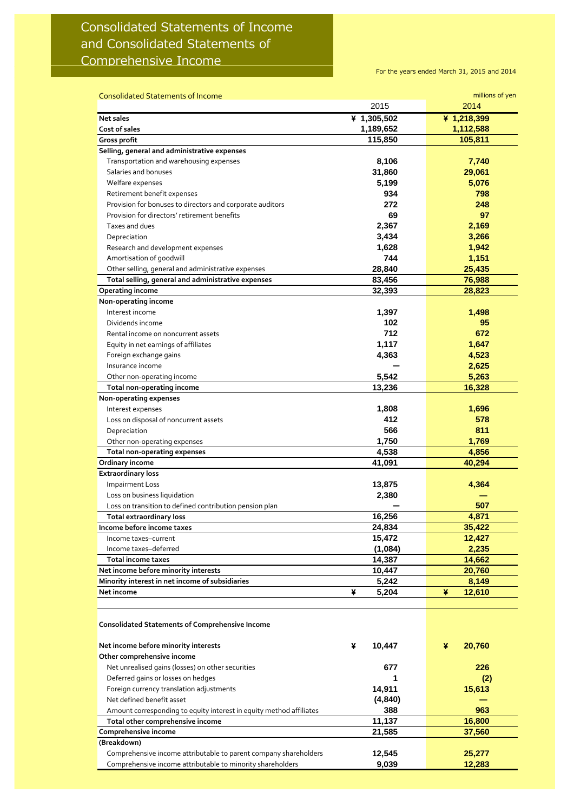## Consolidated Statements of Income and Consolidated Statements of Comprehensive Income

For the years ended March 31, 2015 and 2014

| <b>Consolidated Statements of Income</b>                            |             | millions of yen |
|---------------------------------------------------------------------|-------------|-----------------|
|                                                                     | 2015        | 2014            |
| <b>Net sales</b>                                                    | ¥ 1,305,502 | ¥ 1,218,399     |
| Cost of sales                                                       | 1,189,652   | 1,112,588       |
| Gross profit                                                        | 115,850     | 105,811         |
| Selling, general and administrative expenses                        |             |                 |
| Transportation and warehousing expenses                             | 8,106       | 7,740           |
| Salaries and bonuses                                                | 31,860      | 29,061          |
| Welfare expenses                                                    | 5,199       | 5,076           |
| Retirement benefit expenses                                         | 934         | 798             |
| Provision for bonuses to directors and corporate auditors           | 272         | 248             |
| Provision for directors' retirement benefits                        | 69          | 97              |
| Taxes and dues                                                      | 2,367       | 2,169           |
| Depreciation                                                        | 3,434       | 3,266           |
| Research and development expenses                                   | 1,628       | 1,942           |
| Amortisation of goodwill                                            | 744         | 1,151           |
| Other selling, general and administrative expenses                  | 28,840      | 25,435          |
| Total selling, general and administrative expenses                  | 83,456      | 76,988          |
| Operating income                                                    | 32,393      | 28,823          |
| Non-operating income                                                |             |                 |
| Interest income                                                     | 1,397       | 1,498           |
| Dividends income                                                    | 102         | 95              |
| Rental income on noncurrent assets                                  | 712         | 672             |
| Equity in net earnings of affiliates                                | 1,117       | 1,647           |
| Foreign exchange gains                                              | 4,363       | 4,523           |
| Insurance income                                                    |             | 2,625           |
| Other non-operating income                                          | 5,542       | 5,263           |
| Total non-operating income                                          | 13,236      | 16,328          |
| Non-operating expenses                                              |             |                 |
| Interest expenses                                                   | 1,808       | 1,696           |
| Loss on disposal of noncurrent assets                               | 412<br>566  | 578<br>811      |
| Depreciation                                                        | 1,750       | 1,769           |
| Other non-operating expenses<br><b>Total non-operating expenses</b> | 4,538       | 4,856           |
| Ordinary income                                                     | 41,091      | 40,294          |
| <b>Extraordinary loss</b>                                           |             |                 |
| <b>Impairment Loss</b>                                              | 13,875      | 4,364           |
| Loss on business liquidation                                        | 2,380       |                 |
| Loss on transition to defined contribution pension plan             |             | 507             |
| <b>Total extraordinary loss</b>                                     | 16,256      | 4,871           |
| Income before income taxes                                          | 24,834      | 35,422          |
| Income taxes-current                                                | 15,472      | 12,427          |
| Income taxes-deferred                                               | (1,084)     | 2,235           |
| <b>Total income taxes</b>                                           | 14,387      | 14,662          |
| Net income before minority interests                                | 10,447      | 20,760          |
| Minority interest in net income of subsidiaries                     | 5,242       | 8,149           |
| Net income                                                          | 5,204<br>¥  | 12,610<br>¥     |
|                                                                     |             |                 |
| <b>Consolidated Statements of Comprehensive Income</b>              |             |                 |
| Net income before minority interests                                | ¥<br>10,447 | ¥<br>20,760     |
| Other comprehensive income                                          |             |                 |
| Net unrealised gains (losses) on other securities                   | 677         | 226             |
| Deferred gains or losses on hedges                                  |             | (2)             |
| Foreign currency translation adjustments                            | 14,911      | 15,613          |
| Net defined benefit asset                                           | (4, 840)    |                 |
| Amount corresponding to equity interest in equity method affiliates | 388         | 963             |
| Total other comprehensive income                                    | 11,137      | 16,800          |
| Comprehensive income                                                | 21,585      | 37,560          |
| (Breakdown)                                                         |             |                 |
| Comprehensive income attributable to parent company shareholders    | 12,545      | 25,277          |
| Comprehensive income attributable to minority shareholders          | 9,039       | 12,283          |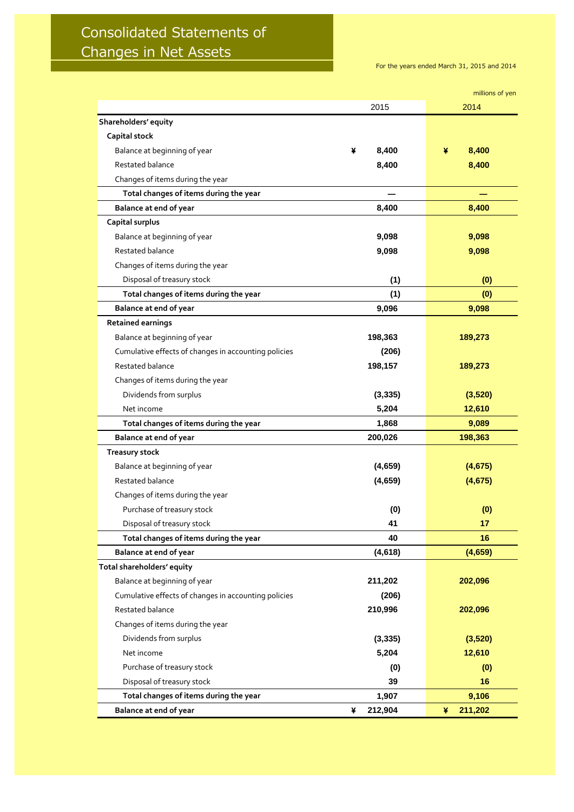## Consolidated Statements of Changes in Net Assets

For the years ended March 31, 2015 and 2014

|                                                      |              | millions of yen |
|------------------------------------------------------|--------------|-----------------|
|                                                      | 2015         | 2014            |
| Shareholders' equity                                 |              |                 |
| <b>Capital stock</b>                                 |              |                 |
| Balance at beginning of year                         | 8,400<br>¥   | 8,400<br>¥      |
| Restated balance                                     | 8,400        | 8,400           |
| Changes of items during the year                     |              |                 |
| Total changes of items during the year               |              |                 |
| <b>Balance at end of year</b>                        | 8,400        | 8,400           |
| Capital surplus                                      |              |                 |
| Balance at beginning of year                         | 9,098        | 9,098           |
| Restated balance                                     | 9,098        | 9,098           |
| Changes of items during the year                     |              |                 |
| Disposal of treasury stock                           | (1)          | (0)             |
| Total changes of items during the year               | (1)          | (0)             |
| <b>Balance at end of year</b>                        | 9,096        | 9,098           |
| <b>Retained earnings</b>                             |              |                 |
| Balance at beginning of year                         | 198,363      | 189,273         |
| Cumulative effects of changes in accounting policies | (206)        |                 |
| Restated balance                                     | 198,157      | 189,273         |
| Changes of items during the year                     |              |                 |
| Dividends from surplus                               | (3, 335)     | (3,520)         |
| Net income                                           | 5,204        | 12,610          |
| Total changes of items during the year               | 1,868        | 9,089           |
| Balance at end of year                               | 200,026      | 198,363         |
| <b>Treasury stock</b>                                |              |                 |
| Balance at beginning of year                         | (4,659)      | (4,675)         |
| Restated balance                                     | (4,659)      | (4,675)         |
| Changes of items during the year                     |              |                 |
| Purchase of treasury stock                           | (0)          | (0)             |
| Disposal of treasury stock                           | 41           | 17              |
| Total changes of items during the year               | 40           | 16              |
| <b>Balance at end of year</b>                        | (4,618)      | (4,659)         |
| Total shareholders' equity                           |              |                 |
| Balance at beginning of year                         | 211,202      | 202,096         |
| Cumulative effects of changes in accounting policies | (206)        |                 |
| Restated balance                                     | 210,996      | 202,096         |
| Changes of items during the year                     |              |                 |
| Dividends from surplus                               | (3, 335)     | (3,520)         |
| Net income                                           | 5,204        | 12,610          |
| Purchase of treasury stock                           | (0)          | (0)             |
| Disposal of treasury stock                           | 39           | 16              |
| Total changes of items during the year               | 1,907        | 9,106           |
| <b>Balance at end of year</b>                        | 212,904<br>¥ | 211,202<br>¥    |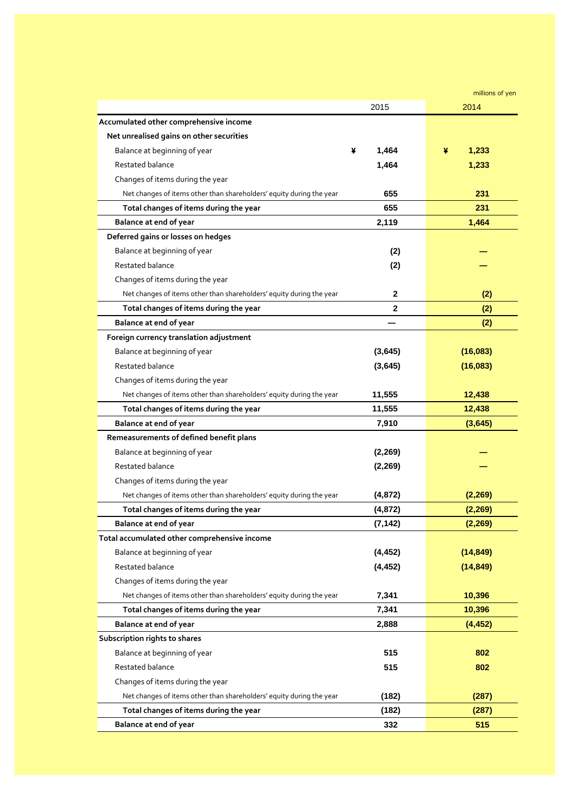|                                                                      |              | millions of yen |
|----------------------------------------------------------------------|--------------|-----------------|
|                                                                      | 2015         | 2014            |
| Accumulated other comprehensive income                               |              |                 |
| Net unrealised gains on other securities                             |              |                 |
| Balance at beginning of year                                         | ¥<br>1,464   | ¥<br>1,233      |
| Restated balance                                                     | 1,464        | 1,233           |
| Changes of items during the year                                     |              |                 |
| Net changes of items other than shareholders' equity during the year | 655          | 231             |
| Total changes of items during the year                               | 655          | 231             |
| <b>Balance at end of year</b>                                        | 2,119        | 1,464           |
| Deferred gains or losses on hedges                                   |              |                 |
| Balance at beginning of year                                         | (2)          |                 |
| Restated balance                                                     | (2)          |                 |
| Changes of items during the year                                     |              |                 |
| Net changes of items other than shareholders' equity during the year | $\mathbf{2}$ | (2)             |
| Total changes of items during the year                               | 2            | (2)             |
| <b>Balance at end of year</b>                                        |              | (2)             |
| Foreign currency translation adjustment                              |              |                 |
| Balance at beginning of year                                         | (3,645)      | (16,083)        |
| Restated balance                                                     | (3,645)      | (16,083)        |
| Changes of items during the year                                     |              |                 |
| Net changes of items other than shareholders' equity during the year | 11,555       | 12,438          |
| Total changes of items during the year                               | 11,555       | 12,438          |
| <b>Balance at end of year</b>                                        | 7,910        | (3,645)         |
| Remeasurements of defined benefit plans                              |              |                 |
| Balance at beginning of year                                         | (2, 269)     |                 |
| Restated balance                                                     | (2, 269)     |                 |
| Changes of items during the year                                     |              |                 |
| Net changes of items other than shareholders' equity during the year | (4, 872)     | (2, 269)        |
| Total changes of items during the year                               | (4, 872)     | (2, 269)        |
| <b>Balance at end of year</b>                                        | (7, 142)     | (2, 269)        |
| Total accumulated other comprehensive income                         |              |                 |
| Balance at beginning of year                                         | (4, 452)     | (14, 849)       |
| Restated balance                                                     | (4, 452)     | (14, 849)       |
| Changes of items during the year                                     |              |                 |
| Net changes of items other than shareholders' equity during the year | 7,341        | 10,396          |
| Total changes of items during the year                               | 7,341        | 10,396          |
| <b>Balance at end of year</b>                                        | 2,888        | (4, 452)        |
| Subscription rights to shares                                        |              |                 |
| Balance at beginning of year                                         | 515          | 802             |
| Restated balance                                                     | 515          | 802             |
| Changes of items during the year                                     |              |                 |
| Net changes of items other than shareholders' equity during the year | (182)        | (287)           |
| Total changes of items during the year                               | (182)        | (287)           |
| <b>Balance at end of year</b>                                        | 332          | 515             |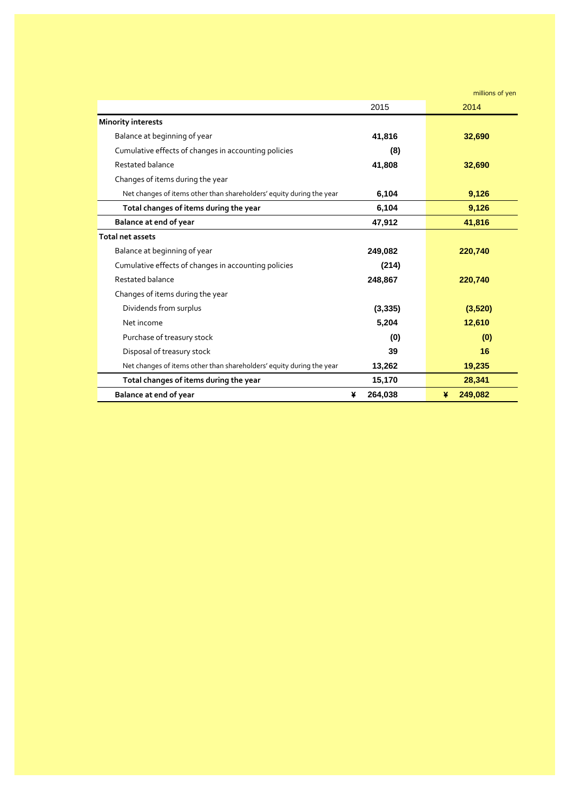millions of yen

|                                                                      | 2015         | 2014         |
|----------------------------------------------------------------------|--------------|--------------|
| <b>Minority interests</b>                                            |              |              |
| Balance at beginning of year                                         | 41,816       | 32,690       |
| Cumulative effects of changes in accounting policies                 | (8)          |              |
| Restated balance                                                     | 41,808       | 32,690       |
| Changes of items during the year                                     |              |              |
| Net changes of items other than shareholders' equity during the year | 6,104        | 9,126        |
| Total changes of items during the year                               | 6,104        | 9,126        |
| <b>Balance at end of year</b>                                        | 47,912       | 41,816       |
| <b>Total net assets</b>                                              |              |              |
| Balance at beginning of year                                         | 249,082      | 220,740      |
| Cumulative effects of changes in accounting policies                 | (214)        |              |
| Restated balance                                                     | 248,867      | 220,740      |
| Changes of items during the year                                     |              |              |
| Dividends from surplus                                               | (3, 335)     | (3,520)      |
| Net income                                                           | 5,204        | 12,610       |
| Purchase of treasury stock                                           | (0)          | (0)          |
| Disposal of treasury stock                                           | 39           | 16           |
| Net changes of items other than shareholders' equity during the year | 13,262       | 19,235       |
| Total changes of items during the year                               | 15,170       | 28,341       |
| <b>Balance at end of year</b>                                        | 264,038<br>¥ | 249,082<br>¥ |